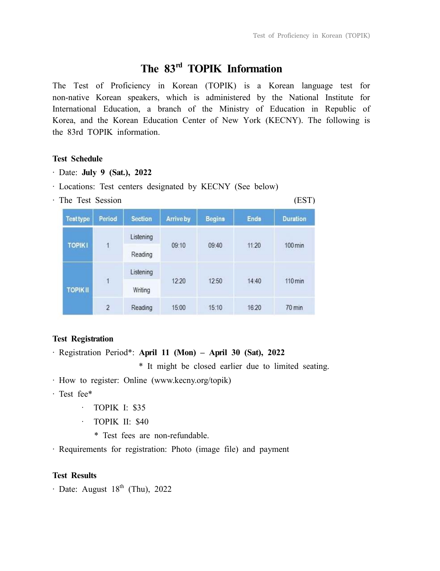# **The 83rd TOPIK Information**

The Test of Proficiency in Korean (TOPIK) is a Korean language test for non-native Korean speakers, which is administered by the National Institute for International Education, a branch of the Ministry of Education in Republic of Korea, and the Korean Education Center of New York (KECNY). The following is the 83rd TOPIK information.

# **Test Schedule**

- ‧ Date: **July 9 (Sat.), 2022**
- ‧ Locations: Test centers designated by KECNY (See below)
- · The Test Session (EST)

| <b>Testtype</b> | Period         | <b>Section</b> | <b>Arrive by</b>           | <b>Begins</b>              | <b>Ends</b> | <b>Duration</b>      |
|-----------------|----------------|----------------|----------------------------|----------------------------|-------------|----------------------|
| <b>TOPIKI</b>   | $\mathbf{1}$   | Listening      | 09:10                      | 09:40                      | 11:20       | $100 \,\mathrm{min}$ |
|                 |                | Reading        |                            |                            |             |                      |
| <b>TOPIKII</b>  | $\overline{1}$ | Listening      | <b>CONTRACTOR</b><br>12:20 | <b>NON-REPAIR</b><br>12:50 | 14:40       | $110 \,\mathrm{min}$ |
|                 |                | Writing        |                            |                            |             |                      |
|                 | $\overline{2}$ | Reading        | 15:00                      | 15:10                      | 16:20       | $70 \text{ min}$     |

## **Test Registration**

‧ Registration Period\*: **April 11 (Mon) – April 30 (Sat), 2022** 

\* It might be closed earlier due to limited seating.

- ‧ How to register: Online (www.kecny.org/topik)
- ‧ Test fee\*
	- · TOPIK I: \$35
	- · TOPIK II: \$40
		- \* Test fees are non-refundable.
- ‧ Requirements for registration: Photo (image file) and payment

#### **Test Results**

 $\cdot$  Date: August 18<sup>th</sup> (Thu), 2022